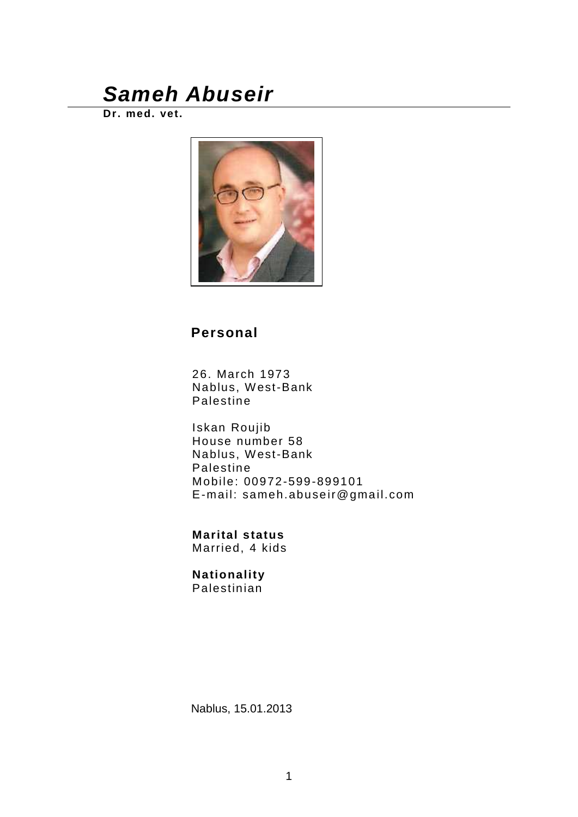**Dr. med. vet.**



## **Personal**

26. March 1973 Nablus, West-Bank Palestine

Iskan Roujib House number 58 Nablus, West-Bank Palestine Mobile: 00972-599-899101 E-mail: sameh.abuse ir@gmail.com

**Marital status** Married, 4 kids

#### **Nationality** Palestinian

Nablus, 15.01.2013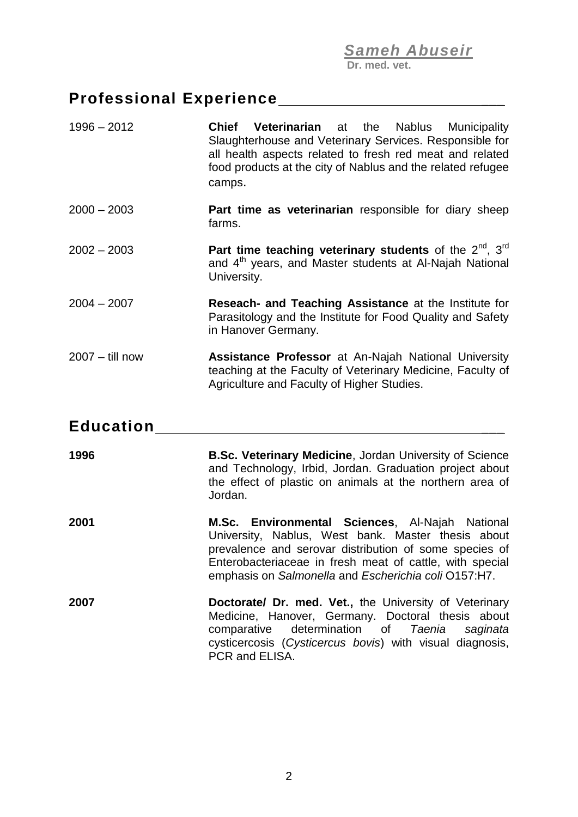**Dr. med. vet.**

# **Professional Experience** \_\_\_

| $1996 - 2012$     | Chief<br><b>Veterinarian</b> at the<br>Nablus<br><b>Municipality</b><br>Slaughterhouse and Veterinary Services. Responsible for<br>all health aspects related to fresh red meat and related<br>food products at the city of Nablus and the related refugee<br>camps.                |
|-------------------|-------------------------------------------------------------------------------------------------------------------------------------------------------------------------------------------------------------------------------------------------------------------------------------|
| $2000 - 2003$     | Part time as veterinarian responsible for diary sheep<br>farms.                                                                                                                                                                                                                     |
| $2002 - 2003$     | Part time teaching veterinary students of the $2^{nd}$ , $3^{rd}$<br>and 4 <sup>th</sup> years, and Master students at Al-Najah National<br>University.                                                                                                                             |
| $2004 - 2007$     | Reseach- and Teaching Assistance at the Institute for<br>Parasitology and the Institute for Food Quality and Safety<br>in Hanover Germany.                                                                                                                                          |
| $2007 -$ till now | <b>Assistance Professor at An-Najah National University</b><br>teaching at the Faculty of Veterinary Medicine, Faculty of<br>Agriculture and Faculty of Higher Studies.                                                                                                             |
| <b>Education</b>  |                                                                                                                                                                                                                                                                                     |
| 1996              | B.Sc. Veterinary Medicine, Jordan University of Science<br>and Technology, Irbid, Jordan. Graduation project about<br>the effect of plastic on animals at the northern area of<br>Jordan.                                                                                           |
| 2001              | M.Sc. Environmental Sciences, Al-Najah National<br>University, Nablus, West bank. Master thesis about<br>prevalence and serovar distribution of some species of<br>Enterobacteriaceae in fresh meat of cattle, with special<br>emphasis on Salmonella and Escherichia coli O157:H7. |
| 2007              | Doctorate/ Dr. med. Vet., the University of Veterinary<br>Medicine, Hanover, Germany. Doctoral thesis about<br>comparative<br>determination of<br>Taenia<br>saginata<br>cysticercosis (Cysticercus bovis) with visual diagnosis,<br>PCR and ELISA.                                  |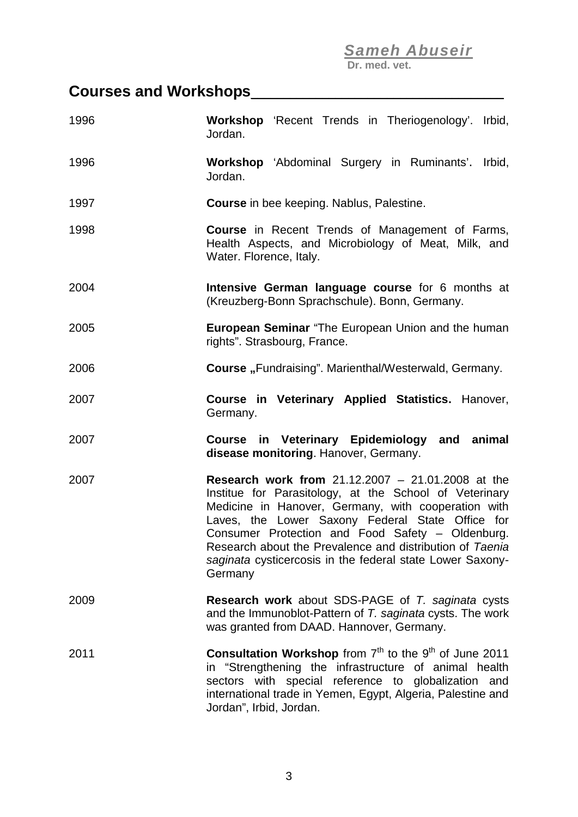**Dr. med. vet.**

## **Courses and Workshops**\_\_\_\_\_\_\_\_\_\_\_\_\_\_\_\_\_\_\_\_\_\_\_\_\_\_\_\_\_\_\_\_\_\_\_\_\_\_\_

| 1996 | <b>Workshop</b> 'Recent Trends in Theriogenology'. Irbid,<br>Jordan.                                                                                                                                                                                                                                                                                                                                                  |
|------|-----------------------------------------------------------------------------------------------------------------------------------------------------------------------------------------------------------------------------------------------------------------------------------------------------------------------------------------------------------------------------------------------------------------------|
| 1996 | Workshop 'Abdominal Surgery in Ruminants'. Irbid,<br>Jordan.                                                                                                                                                                                                                                                                                                                                                          |
| 1997 | <b>Course</b> in bee keeping. Nablus, Palestine.                                                                                                                                                                                                                                                                                                                                                                      |
| 1998 | <b>Course</b> in Recent Trends of Management of Farms,<br>Health Aspects, and Microbiology of Meat, Milk, and<br>Water. Florence, Italy.                                                                                                                                                                                                                                                                              |
| 2004 | Intensive German language course for 6 months at<br>(Kreuzberg-Bonn Sprachschule). Bonn, Germany.                                                                                                                                                                                                                                                                                                                     |
| 2005 | <b>European Seminar</b> "The European Union and the human<br>rights". Strasbourg, France.                                                                                                                                                                                                                                                                                                                             |
| 2006 | <b>Course</b> "Fundraising". Marienthal/Westerwald, Germany.                                                                                                                                                                                                                                                                                                                                                          |
| 2007 | Course in Veterinary Applied Statistics. Hanover,<br>Germany.                                                                                                                                                                                                                                                                                                                                                         |
| 2007 | Course in Veterinary Epidemiology and animal<br>disease monitoring. Hanover, Germany.                                                                                                                                                                                                                                                                                                                                 |
| 2007 | <b>Research work from 21.12.2007 - 21.01.2008 at the</b><br>Institue for Parasitology, at the School of Veterinary<br>Medicine in Hanover, Germany, with cooperation with<br>Laves, the Lower Saxony Federal State Office for<br>Consumer Protection and Food Safety - Oldenburg.<br>Research about the Prevalence and distribution of Taenia<br>saginata cysticercosis in the federal state Lower Saxony-<br>Germany |
| 2009 | <b>Research work</b> about SDS-PAGE of T. saginata cysts<br>and the Immunoblot-Pattern of T. saginata cysts. The work<br>was granted from DAAD. Hannover, Germany.                                                                                                                                                                                                                                                    |
| 2011 | <b>Consultation Workshop</b> from $7th$ to the $9th$ of June 2011<br>in "Strengthening the infrastructure of animal health<br>sectors with special reference to globalization and<br>international trade in Yemen, Egypt, Algeria, Palestine and<br>Jordan", Irbid, Jordan.                                                                                                                                           |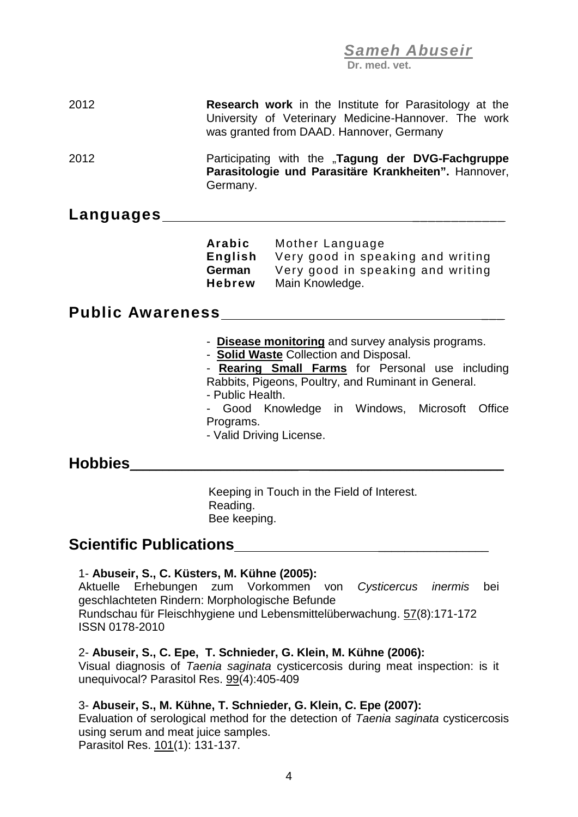**Dr. med. vet.**

## 2012 **Research work** in the Institute for Parasitology at the University of Veterinary Medicine-Hannover. The work was granted from DAAD. Hannover, Germany 2012 Participating with the "**Tagung der DVG-Fachgruppe Parasitologie und Parasitäre Krankheiten".** Hannover, Germany. **Languages** \_\_\_\_\_\_\_\_\_\_\_\_ **Arabic** Mother Language **English** Very good in speaking and writing **German** Very good in speaking and writing **Hebrew** Main Knowledge. **Public Awareness** \_\_\_ - **Disease monitoring** and survey analysis programs. - **Solid Waste** Collection and Disposal. - **Rearing Small Farms** for Personal use including Rabbits, Pigeons, Poultry, and Ruminant in General. - Public Health. - Good Knowledge in Windows, Microsoft Office Programs. - Valid Driving License. **Hobbies**\_\_\_\_\_\_\_\_\_\_\_\_\_\_\_\_\_\_\_\_\_\_\_\_\_\_ \_\_\_\_\_\_\_\_\_\_\_\_\_\_\_\_\_\_\_\_\_\_\_\_\_\_\_\_\_\_

Keeping in Touch in the Field of Interest. Reading. Bee keeping.

### **Scientific Publications Example 2011**

#### 1- **Abuseir, S., C. Küsters, M. Kühne (2005):**

Aktuelle Erhebungen zum Vorkommen von *Cysticercus inermis* bei geschlachteten Rindern: Morphologische Befunde Rundschau für Fleischhygiene und Lebensmittelüberwachung. 57(8):171-172 ISSN 0178-2010

#### 2- **Abuseir, S., C. Epe, T. Schnieder, G. Klein, M. Kühne (2006):**

Visual diagnosis of *Taenia saginata* cysticercosis during meat inspection: is it unequivocal? Parasitol Res. 99(4):405-409

#### 3- **Abuseir, S., M. Kühne, T. Schnieder, G. Klein, C. Epe (2007):**

Evaluation of serological method for the detection of *Taenia saginata* cysticercosis using serum and meat juice samples. Parasitol Res. 101(1): 131-137.